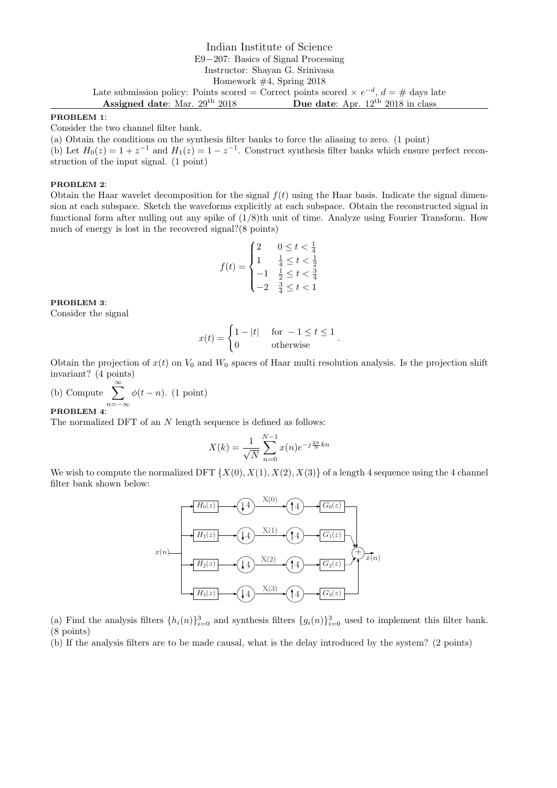# Indian Institute of Science E9−207: Basics of Signal Processing Instructor: Shayan G. Srinivasa Homework #4, Spring 2018 Late submission policy: Points scored = Correct points scored  $\times e^{-d}$ ,  $d = \#$  days late Assigned date: Mar. 29<sup>th</sup> 2018 Due date: Apr. 12<sup>th</sup> 2018 in class

### PROBLEM 1:

Consider the two channel filter bank.

(a) Obtain the conditions on the synthesis filter banks to force the aliasing to zero. (1 point)

(b) Let  $H_0(z) = 1 + z^{-1}$  and  $H_1(z) = 1 - z^{-1}$ . Construct synthesis filter banks which ensure perfect reconstruction of the input signal. (1 point)

### PROBLEM 2:

Obtain the Haar wavelet decomposition for the signal  $f(t)$  using the Haar basis. Indicate the signal dimension at each subspace. Sketch the waveforms explicitly at each subspace. Obtain the reconstructed signal in functional form after nulling out any spike of  $(1/8)$ th unit of time. Analyze using Fourier Transform. How much of energy is lost in the recovered signal?(8 points)

$$
f(t) = \begin{cases} 2 & 0 \le t < \frac{1}{4} \\ 1 & \frac{1}{4} \le t < \frac{1}{2} \\ -1 & \frac{1}{2} \le t < \frac{3}{4} \\ -2 & \frac{3}{4} \le t < 1 \end{cases}
$$

## PROBLEM 3:

Consider the signal

$$
x(t) = \begin{cases} 1 - |t| & \text{for } -1 \le t \le 1 \\ 0 & \text{otherwise} \end{cases}.
$$

Obtain the projection of  $x(t)$  on  $V_0$  and  $W_0$  spaces of Haar multi resolution analysis. Is the projection shift invariant? (4 points)

(b) Compute 
$$
\sum_{n=-\infty}^{\infty} \phi(t-n).
$$
 (1 point)

#### PROBLEM 4:

The normalized DFT of an N length sequence is defined as follows:

$$
X(k) = \frac{1}{\sqrt{N}} \sum_{n=0}^{N-1} x(n) e^{-j\frac{2\pi}{N}kn}
$$

We wish to compute the normalized DFT  $\{X(0), X(1), X(2), X(3)\}$  of a length 4 sequence using the 4 channel filter bank shown below:



(a) Find the analysis filters  $\{h_i(n)\}_{i=0}^3$  and synthesis filters  $\{g_i(n)\}_{i=0}^3$  used to implement this filter bank. (8 points)

(b) If the analysis filters are to be made causal, what is the delay introduced by the system? (2 points)